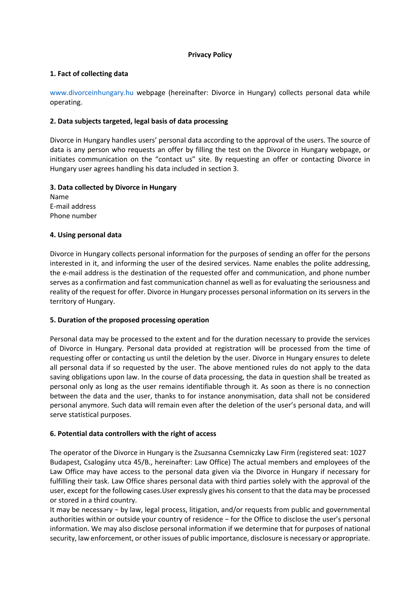# **Privacy Policy**

# **1. Fact of collecting data**

www.divorceinhungary.hu webpage (hereinafter: Divorce in Hungary) collects personal data while operating.

# **2. Data subjects targeted, legal basis of data processing**

Divorce in Hungary handles users' personal data according to the approval of the users. The source of data is any person who requests an offer by filling the test on the Divorce in Hungary webpage, or initiates communication on the "contact us" site. By requesting an offer or contacting Divorce in Hungary user agrees handling his data included in section 3.

# **3. Data collected by Divorce in Hungary**

Name E-mail address Phone number

# **4. Using personal data**

Divorce in Hungary collects personal information for the purposes of sending an offer for the persons interested in it, and informing the user of the desired services. Name enables the polite addressing, the e-mail address is the destination of the requested offer and communication, and phone number serves as a confirmation and fast communication channel as well as for evaluating the seriousness and reality of the request for offer. Divorce in Hungary processes personal information on its servers in the territory of Hungary.

# **5. Duration of the proposed processing operation**

Personal data may be processed to the extent and for the duration necessary to provide the services of Divorce in Hungary. Personal data provided at registration will be processed from the time of requesting offer or contacting us until the deletion by the user. Divorce in Hungary ensures to delete all personal data if so requested by the user. The above mentioned rules do not apply to the data saving obligations upon law. In the course of data processing, the data in question shall be treated as personal only as long as the user remains identifiable through it. As soon as there is no connection between the data and the user, thanks to for instance anonymisation, data shall not be considered personal anymore. Such data will remain even after the deletion of the user's personal data, and will serve statistical purposes.

# **6. Potential data controllers with the right of access**

The operator of the Divorce in Hungary is the Zsuzsanna Csemniczky Law Firm (registered seat: 1027 Budapest, Csalogány utca 45/B., hereinafter: Law Office) The actual members and employees of the Law Office may have access to the personal data given via the Divorce in Hungary if necessary for fulfilling their task. Law Office shares personal data with third parties solely with the approval of the user, except for the following cases.User expressly gives his consent to that the data may be processed or stored in a third country.

It may be necessary − by law, legal process, litigation, and/or requests from public and governmental authorities within or outside your country of residence − for the Office to disclose the user's personal information. We may also disclose personal information if we determine that for purposes of national security, law enforcement, or other issues of public importance, disclosure is necessary or appropriate.